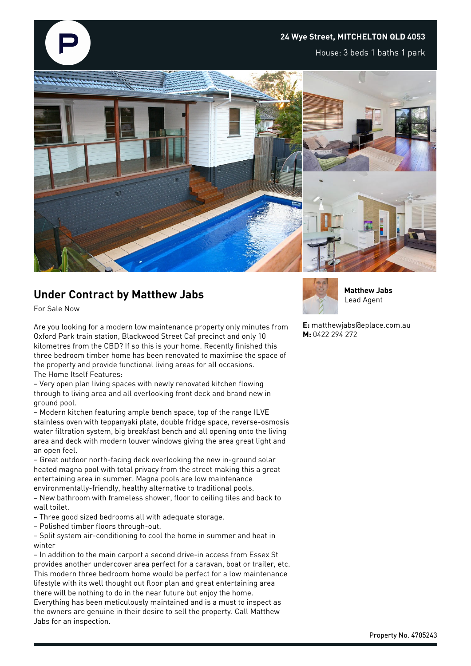## **24 Wye Street, MITCHELTON QLD 4053**

House: 3 beds 1 baths 1 park



## **Under Contract by Matthew Jabs**

For Sale Now

Are you looking for a modern low maintenance property only minutes from Oxford Park train station, Blackwood Street Caf precinct and only 10 kilometres from the CBD? If so this is your home. Recently finished this three bedroom timber home has been renovated to maximise the space of the property and provide functional living areas for all occasions. The Home Itself Features:

– Very open plan living spaces with newly renovated kitchen flowing through to living area and all overlooking front deck and brand new in ground pool.

– Modern kitchen featuring ample bench space, top of the range ILVE stainless oven with teppanyaki plate, double fridge space, reverse-osmosis water filtration system, big breakfast bench and all opening onto the living area and deck with modern louver windows giving the area great light and an open feel.

– Great outdoor north-facing deck overlooking the new in-ground solar heated magna pool with total privacy from the street making this a great entertaining area in summer. Magna pools are low maintenance environmentally-friendly, healthy alternative to traditional pools. – New bathroom with frameless shower, floor to ceiling tiles and back to

- wall toilet. – Three good sized bedrooms all with adequate storage.
- Polished timber floors through-out.

– Split system air-conditioning to cool the home in summer and heat in winter

– In addition to the main carport a second drive-in access from Essex St provides another undercover area perfect for a caravan, boat or trailer, etc. This modern three bedroom home would be perfect for a low maintenance lifestyle with its well thought out floor plan and great entertaining area there will be nothing to do in the near future but enjoy the home. Everything has been meticulously maintained and is a must to inspect as the owners are genuine in their desire to sell the property. Call Matthew

Jabs for an inspection.



**Matthew Jabs** Lead Agent

**E:** matthewjabs@eplace.com.au **M:** 0422 294 272